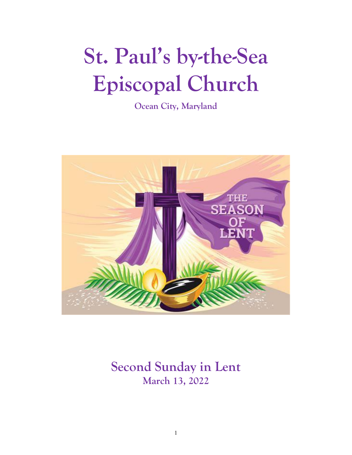# **St. Paul's by-the-Sea Episcopal Church**

**Ocean City, Maryland**



# **Second Sunday in Lent March 13, 2022**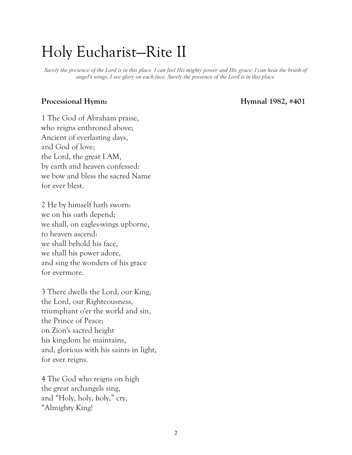# Holy Eucharist—Rite II

*Surely the presence of the Lord is in this place. I can feel His mighty power and His grace. I can hear the brush of angel's wings, I see glory on each face. Surely the presence of the Lord is in this place.*

#### Processional Hymn: **Hymnal 1982, #401**

1 The God of Abraham praise, who reigns enthroned above; Ancient of everlasting days, and God of love; the Lord, the great I AM, by earth and heaven confessed: we bow and bless the sacred Name for ever blest.

2 He by himself hath sworn: we on his oath depend; we shall, on eagles-wings upborne, to heaven ascend: we shall behold his face, we shall his power adore, and sing the wonders of his grace for evermore.

3 There dwells the Lord, our King, the Lord, our Righteousness, triumphant o'er the world and sin, the Prince of Peace; on Zion's sacred height his kingdom he maintains, and, glorious with his saints in light, for ever reigns.

4 The God who reigns on high the great archangels sing, and "Holy, holy, holy," cry, "Almighty King!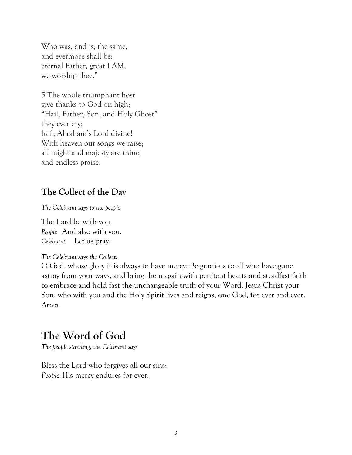Who was, and is, the same, and evermore shall be: eternal Father, great I AM, we worship thee."

5 The whole triumphant host give thanks to God on high; "Hail, Father, Son, and Holy Ghost" they ever cry; hail, Abraham's Lord divine! With heaven our songs we raise; all might and majesty are thine, and endless praise.

### **The Collect of the Day**

*The Celebrant says to the people*

The Lord be with you. *People* And also with you. *Celebrant* Let us pray.

*The Celebrant says the Collect.*

O God, whose glory it is always to have mercy: Be gracious to all who have gone astray from your ways, and bring them again with penitent hearts and steadfast faith to embrace and hold fast the unchangeable truth of your Word, Jesus Christ your Son; who with you and the Holy Spirit lives and reigns, one God, for ever and ever. *Amen.*

# **The Word of God**

*The people standing, the Celebrant says*

Bless the Lord who forgives all our sins; *People* His mercy endures for ever.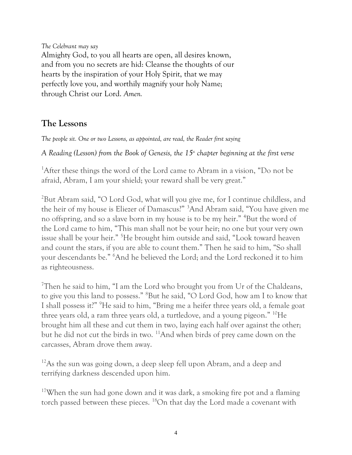*The Celebrant may say* Almighty God, to you all hearts are open, all desires known, and from you no secrets are hid: Cleanse the thoughts of our hearts by the inspiration of your Holy Spirit, that we may perfectly love you, and worthily magnify your holy Name; through Christ our Lord. *Amen.*

### **The Lessons**

*The people sit. One or two Lessons, as appointed, are read, the Reader first saying*

*A Reading (Lesson) from the Book of Genesis, the 15th chapter beginning at the first verse*

<sup>1</sup>After these things the word of the Lord came to Abram in a vision, "Do not be afraid, Abram, I am your shield; your reward shall be very great."

<sup>2</sup>But Abram said, "O Lord God, what will you give me, for I continue childless, and the heir of my house is Eliezer of Damascus?" <sup>3</sup>And Abram said, "You have given me no offspring, and so a slave born in my house is to be my heir." <sup>4</sup>But the word of the Lord came to him, "This man shall not be your heir; no one but your very own issue shall be your heir." <sup>5</sup>He brought him outside and said, "Look toward heaven and count the stars, if you are able to count them." Then he said to him, "So shall your descendants be." <sup>6</sup>And he believed the Lord; and the Lord reckoned it to him as righteousness.

<sup>7</sup>Then he said to him, "I am the Lord who brought you from Ur of the Chaldeans, to give you this land to possess." <sup>8</sup>But he said, "O Lord God, how am I to know that I shall possess it?" <sup>9</sup>He said to him, "Bring me a heifer three years old, a female goat three years old, a ram three years old, a turtledove, and a young pigeon." <sup>10</sup>He brought him all these and cut them in two, laying each half over against the other; but he did not cut the birds in two. <sup>11</sup>And when birds of prey came down on the carcasses, Abram drove them away.

<sup>12</sup>As the sun was going down, a deep sleep fell upon Abram, and a deep and terrifying darkness descended upon him.

<sup>17</sup>When the sun had gone down and it was dark, a smoking fire pot and a flaming torch passed between these pieces. <sup>18</sup>On that day the Lord made a covenant with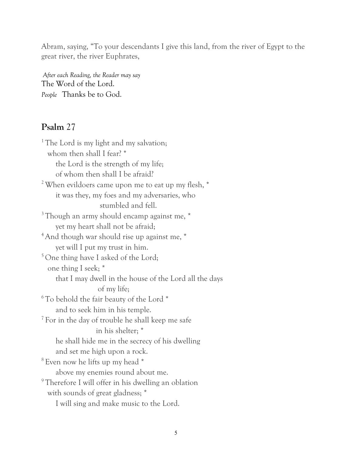Abram, saying, "To your descendants I give this land, from the river of Egypt to the great river, the river Euphrates,

*After each Reading, the Reader may say* The Word of the Lord. *People* Thanks be to God.

#### **Psalm** 27

<sup>1</sup> The Lord is my light and my salvation; whom then shall I fear? \* the Lord is the strength of my life; of whom then shall I be afraid? <sup>2</sup> When evildoers came upon me to eat up my flesh, \* it was they, my foes and my adversaries, who stumbled and fell. <sup>3</sup> Though an army should encamp against me,  $*$  yet my heart shall not be afraid; <sup>4</sup> And though war should rise up against me,  $*$  yet will I put my trust in him. <sup>5</sup> One thing have I asked of the Lord; one thing I seek; \* that I may dwell in the house of the Lord all the days of my life;  $6$ <sup>6</sup>To behold the fair beauty of the Lord  $*$  and to seek him in his temple. <sup>7</sup> For in the day of trouble he shall keep me safe in his shelter; \* he shall hide me in the secrecy of his dwelling and set me high upon a rock. <sup>8</sup> Even now he lifts up my head \* above my enemies round about me. <sup>9</sup> Therefore I will offer in his dwelling an oblation with sounds of great gladness; \* I will sing and make music to the Lord.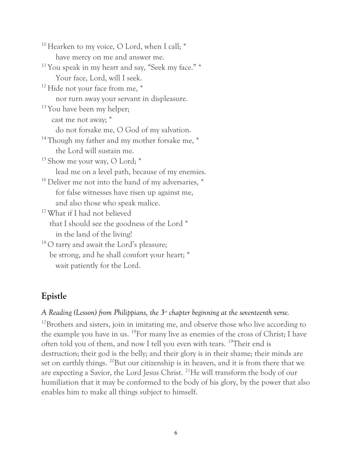<sup>10</sup> Hearken to my voice, O Lord, when I call; \* have mercy on me and answer me.  $11$  You speak in my heart and say, "Seek my face."  $*$  Your face, Lord, will I seek. <sup>12</sup> Hide not your face from me,  $*$  nor turn away your servant in displeasure.  $13$  You have been my helper; cast me not away; \* do not forsake me, O God of my salvation. <sup>14</sup> Though my father and my mother forsake me,  $*$  the Lord will sustain me.  $15$  Show me your way, O Lord;  $*$  lead me on a level path, because of my enemies. <sup>16</sup> Deliver me not into the hand of my adversaries, \* for false witnesses have risen up against me, and also those who speak malice. <sup>17</sup> What if I had not believed that I should see the goodness of the Lord \* in the land of the living! <sup>18</sup>O tarry and await the Lord's pleasure; be strong, and he shall comfort your heart; \* wait patiently for the Lord.

#### **Epistle**

A Reading (Lesson) from Philippians, the 3<sup>-1</sup> chapter beginning at the seventeenth verse.

<sup>17</sup>Brothers and sisters, join in imitating me, and observe those who live according to the example you have in us. <sup>18</sup>For many live as enemies of the cross of Christ; I have often told you of them, and now I tell you even with tears. <sup>19</sup>Their end is destruction; their god is the belly; and their glory is in their shame; their minds are set on earthly things. <sup>20</sup>But our citizenship is in heaven, and it is from there that we are expecting a Savior, the Lord Jesus Christ. <sup>21</sup>He will transform the body of our humiliation that it may be conformed to the body of his glory, by the power that also enables him to make all things subject to himself.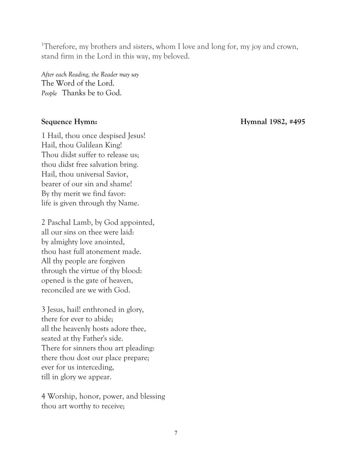<sup>1</sup>Therefore, my brothers and sisters, whom I love and long for, my joy and crown, stand firm in the Lord in this way, my beloved.

*After each Reading, the Reader may say* The Word of the Lord. *People* Thanks be to God.

1 Hail, thou once despised Jesus! Hail, thou Galilean King! Thou didst suffer to release us; thou didst free salvation bring. Hail, thou universal Savior, bearer of our sin and shame! By thy merit we find favor: life is given through thy Name.

2 Paschal Lamb, by God appointed, all our sins on thee were laid: by almighty love anointed, thou hast full atonement made. All thy people are forgiven through the virtue of thy blood: opened is the gate of heaven, reconciled are we with God.

3 Jesus, hail! enthroned in glory, there for ever to abide; all the heavenly hosts adore thee, seated at thy Father's side. There for sinners thou art pleading: there thou dost our place prepare; ever for us interceding, till in glory we appear.

4 Worship, honor, power, and blessing thou art worthy to receive;

**Sequence Hymn: Hymnal 1982, #495**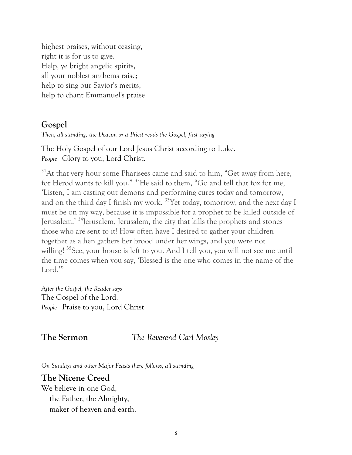highest praises, without ceasing, right it is for us to give. Help, ye bright angelic spirits, all your noblest anthems raise; help to sing our Savior's merits, help to chant Emmanuel's praise!

#### **Gospel**

*Then, all standing, the Deacon or a Priest reads the Gospel, first saying*

The Holy Gospel of our Lord Jesus Christ according to Luke. *People* Glory to you, Lord Christ.

 $31$ At that very hour some Pharisees came and said to him, "Get away from here, for Herod wants to kill you." <sup>32</sup>He said to them, "Go and tell that fox for me, 'Listen, I am casting out demons and performing cures today and tomorrow, and on the third day I finish my work. <sup>33</sup>Yet today, tomorrow, and the next day I must be on my way, because it is impossible for a prophet to be killed outside of Jerusalem.' <sup>34</sup>Jerusalem, Jerusalem, the city that kills the prophets and stones those who are sent to it! How often have I desired to gather your children together as a hen gathers her brood under her wings, and you were not willing!<sup>35</sup>See, your house is left to you. And I tell you, you will not see me until the time comes when you say, 'Blessed is the one who comes in the name of the Lord."

*After the Gospel, the Reader says* The Gospel of the Lord. *People* Praise to you, Lord Christ.

#### **The Sermon** *The Reverend Carl Mosley*

*On Sundays and other Major Feasts there follows, all standing*

#### **The Nicene Creed**

We believe in one God, the Father, the Almighty, maker of heaven and earth,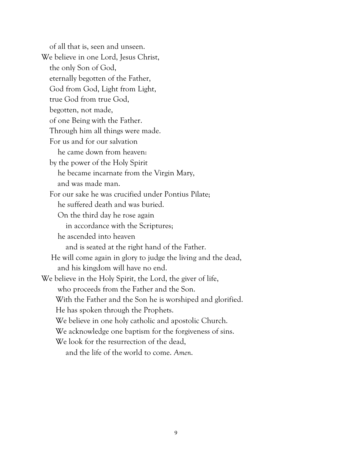of all that is, seen and unseen. We believe in one Lord, Jesus Christ, the only Son of God, eternally begotten of the Father, God from God, Light from Light, true God from true God, begotten, not made, of one Being with the Father. Through him all things were made. For us and for our salvation he came down from heaven: by the power of the Holy Spirit he became incarnate from the Virgin Mary, and was made man. For our sake he was crucified under Pontius Pilate; he suffered death and was buried. On the third day he rose again in accordance with the Scriptures; he ascended into heaven and is seated at the right hand of the Father. He will come again in glory to judge the living and the dead, and his kingdom will have no end. We believe in the Holy Spirit, the Lord, the giver of life, who proceeds from the Father and the Son. With the Father and the Son he is worshiped and glorified. He has spoken through the Prophets. We believe in one holy catholic and apostolic Church. We acknowledge one baptism for the forgiveness of sins. We look for the resurrection of the dead, and the life of the world to come. *Amen*.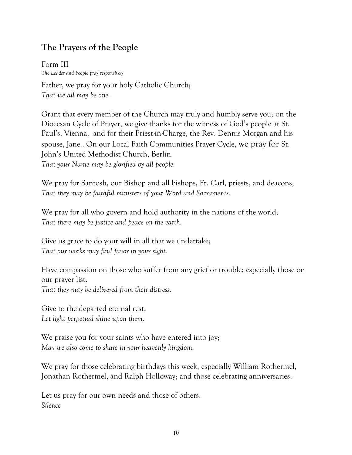### **The Prayers of the People**

Form III *The Leader and People pray responsively*

Father, we pray for your holy Catholic Church; *That we all may be one.*

Grant that every member of the Church may truly and humbly serve you; on the Diocesan Cycle of Prayer, we give thanks for the witness of God's people at St. Paul's, Vienna, and for their Priest-in-Charge, the Rev. Dennis Morgan and his spouse, Jane.. On our Local Faith Communities Prayer Cycle, we pray for St. John's United Methodist Church, Berlin. *That your Name may be glorified by all people.*

We pray for Santosh, our Bishop and all bishops, Fr. Carl, priests, and deacons; *That they may be faithful ministers of your Word and Sacraments.*

We pray for all who govern and hold authority in the nations of the world; *That there may be justice and peace on the earth.*

Give us grace to do your will in all that we undertake; *That our works may find favor in your sight.*

Have compassion on those who suffer from any grief or trouble; especially those on our prayer list.

*That they may be delivered from their distress.*

Give to the departed eternal rest. *Let light perpetual shine upon them.*

We praise you for your saints who have entered into joy; *May we also come to share in your heavenly kingdom.*

We pray for those celebrating birthdays this week, especially William Rothermel, Jonathan Rothermel, and Ralph Holloway; and those celebrating anniversaries.

Let us pray for our own needs and those of others. *Silence*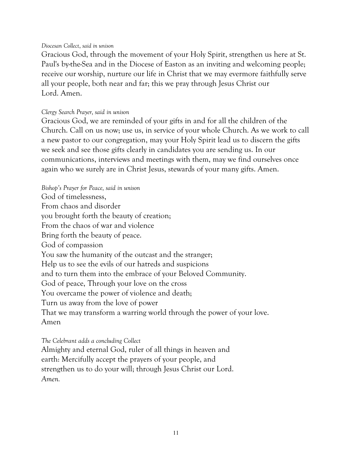#### *Diocesan Collect*, *said in unison*

Gracious God, through the movement of your Holy Spirit, strengthen us here at St. Paul's by-the-Sea and in the Diocese of Easton as an inviting and welcoming people; receive our worship, nurture our life in Christ that we may evermore faithfully serve all your people, both near and far; this we pray through Jesus Christ our Lord. Amen.

#### *Clergy Search Prayer, said in unison*

Gracious God, we are reminded of your gifts in and for all the children of the Church. Call on us now; use us, in service of your whole Church. As we work to call a new pastor to our congregation, may your Holy Spirit lead us to discern the gifts we seek and see those gifts clearly in candidates you are sending us. In our communications, interviews and meetings with them, may we find ourselves once again who we surely are in Christ Jesus, stewards of your many gifts. Amen.

*Bishop's Prayer for Peace, said in unison* God of timelessness, From chaos and disorder you brought forth the beauty of creation; From the chaos of war and violence Bring forth the beauty of peace. God of compassion You saw the humanity of the outcast and the stranger; Help us to see the evils of our hatreds and suspicions and to turn them into the embrace of your Beloved Community. God of peace, Through your love on the cross You overcame the power of violence and death; Turn us away from the love of power That we may transform a warring world through the power of your love. Amen

*The Celebrant adds a concluding Collect* Almighty and eternal God, ruler of all things in heaven and earth: Mercifully accept the prayers of your people, and strengthen us to do your will; through Jesus Christ our Lord. *Amen.*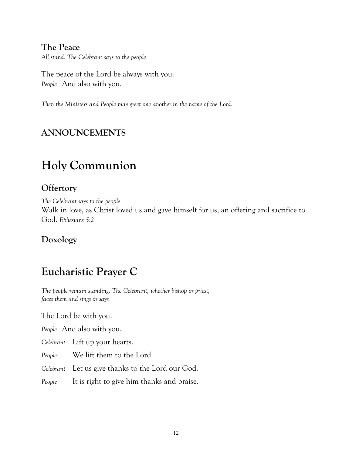#### **The Peace**

*All stand. The Celebrant says to the people*

The peace of the Lord be always with you. *People* And also with you.

*Then the Ministers and People may greet one another in the name of the Lord.*

#### **ANNOUNCEMENTS**

# **Holy Communion**

#### **Offertory**

*The Celebrant says to the people* Walk in love, as Christ loved us and gave himself for us, an offering and sacrifice to God. *Ephesians 5:2*

#### **Doxology**

## **Eucharistic Prayer C**

*The people remain standing. The Celebrant, whether bishop or priest, faces them and sings or says*

The Lord be with you.

*People* And also with you.

*Celebrant* Lift up your hearts.

*People* We lift them to the Lord.

*Celebrant* Let us give thanks to the Lord our God.

*People* It is right to give him thanks and praise.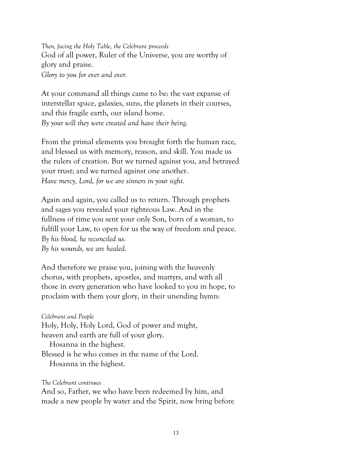*Then, facing the Holy Table, the Celebrant proceeds* God of all power, Ruler of the Universe, you are worthy of glory and praise. *Glory to you for ever and ever.*

At your command all things came to be: the vast expanse of interstellar space, galaxies, suns, the planets in their courses, and this fragile earth, our island home. *By your will they were created and have their being.*

From the primal elements you brought forth the human race, and blessed us with memory, reason, and skill. You made us the rulers of creation. But we turned against you, and betrayed your trust; and we turned against one another. *Have mercy, Lord, for we are sinners in your sight.*

Again and again, you called us to return. Through prophets and sages you revealed your righteous Law. And in the fullness of time you sent your only Son, born of a woman, to fulfill your Law, to open for us the way of freedom and peace. *By his blood, he reconciled us. By his wounds, we are healed.*

And therefore we praise you, joining with the heavenly chorus, with prophets, apostles, and martyrs, and with all those in every generation who have looked to you in hope, to proclaim with them your glory, in their unending hymn:

*Celebrant and People* Holy, Holy, Holy Lord, God of power and might, heaven and earth are full of your glory. Hosanna in the highest. Blessed is he who comes in the name of the Lord. Hosanna in the highest.

*The Celebrant continues*

And so, Father, we who have been redeemed by him, and made a new people by water and the Spirit, now bring before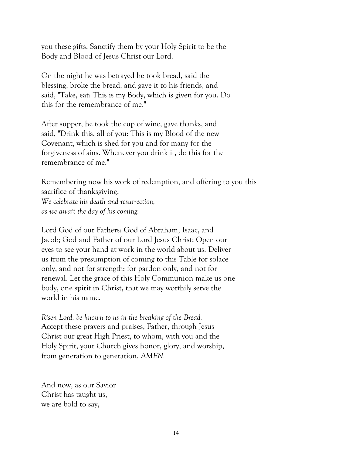you these gifts. Sanctify them by your Holy Spirit to be the Body and Blood of Jesus Christ our Lord.

On the night he was betrayed he took bread, said the blessing, broke the bread, and gave it to his friends, and said, "Take, eat: This is my Body, which is given for you. Do this for the remembrance of me."

After supper, he took the cup of wine, gave thanks, and said, "Drink this, all of you: This is my Blood of the new Covenant, which is shed for you and for many for the forgiveness of sins. Whenever you drink it, do this for the remembrance of me."

Remembering now his work of redemption, and offering to you this sacrifice of thanksgiving, *We celebrate his death and resurrection, as we await the day of his coming.*

Lord God of our Fathers: God of Abraham, Isaac, and Jacob; God and Father of our Lord Jesus Christ: Open our eyes to see your hand at work in the world about us. Deliver us from the presumption of coming to this Table for solace only, and not for strength; for pardon only, and not for renewal. Let the grace of this Holy Communion make us one body, one spirit in Christ, that we may worthily serve the world in his name.

*Risen Lord, be known to us in the breaking of the Bread.* Accept these prayers and praises, Father, through Jesus Christ our great High Priest, to whom, with you and the Holy Spirit, your Church gives honor, glory, and worship, from generation to generation. *AMEN.*

And now, as our Savior Christ has taught us, we are bold to say,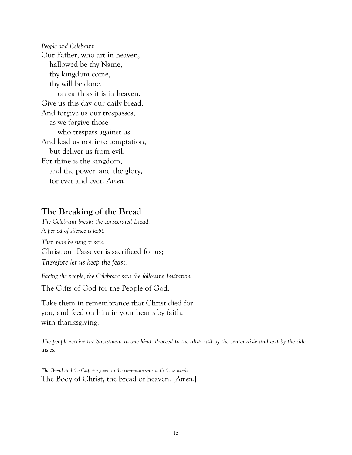*People and Celebrant* Our Father, who art in heaven, hallowed be thy Name, thy kingdom come, thy will be done, on earth as it is in heaven. Give us this day our daily bread. And forgive us our trespasses, as we forgive those who trespass against us. And lead us not into temptation, but deliver us from evil. For thine is the kingdom, and the power, and the glory, for ever and ever. *Amen.*

#### **The Breaking of the Bread**

*The Celebrant breaks the consecrated Bread. A period of silence is kept.*

*Then may be sung or said* Christ our Passover is sacrificed for us; *Therefore let us keep the feast.*

*Facing the people, the Celebrant says the following Invitation*

The Gifts of God for the People of God.

Take them in remembrance that Christ died for you, and feed on him in your hearts by faith, with thanksgiving.

*The people receive the Sacrament in one kind. Proceed to the altar rail by the center aisle and exit by the side aisles.*

*The Bread and the Cup are given to the communicants with these words* The Body of Christ, the bread of heaven. [*Amen.*]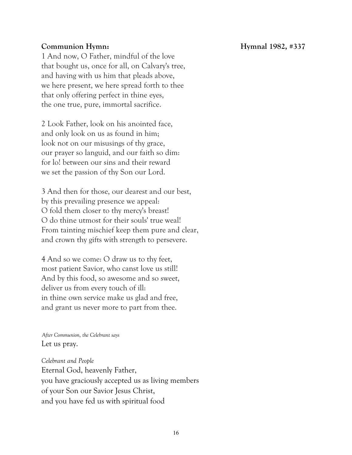#### **Communion Hymn: Hymnal 1982, #337**

1 And now, O Father, mindful of the love that bought us, once for all, on Calvary's tree, and having with us him that pleads above, we here present, we here spread forth to thee that only offering perfect in thine eyes, the one true, pure, immortal sacrifice.

2 Look Father, look on his anointed face, and only look on us as found in him; look not on our misusings of thy grace, our prayer so languid, and our faith so dim: for lo! between our sins and their reward we set the passion of thy Son our Lord.

3 And then for those, our dearest and our best, by this prevailing presence we appeal: O fold them closer to thy mercy's breast! O do thine utmost for their souls' true weal! From tainting mischief keep them pure and clear, and crown thy gifts with strength to persevere.

4 And so we come: O draw us to thy feet, most patient Savior, who canst love us still! And by this food, so awesome and so sweet, deliver us from every touch of ill: in thine own service make us glad and free, and grant us never more to part from thee.

*After Communion, the Celebrant says* Let us pray.

*Celebrant and People* Eternal God, heavenly Father, you have graciously accepted us as living members of your Son our Savior Jesus Christ, and you have fed us with spiritual food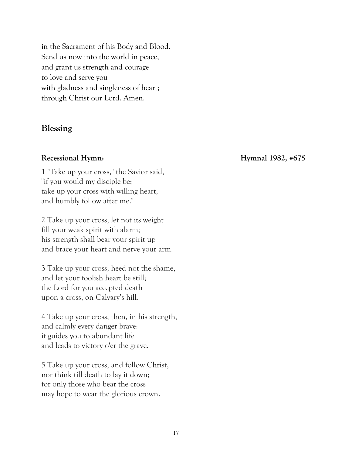in the Sacrament of his Body and Blood. Send us now into the world in peace, and grant us strength and courage to love and serve you with gladness and singleness of heart; through Christ our Lord. Amen.

#### **Blessing**

1 "Take up your cross," the Savior said, "if you would my disciple be; take up your cross with willing heart, and humbly follow after me."

2 Take up your cross; let not its weight fill your weak spirit with alarm; his strength shall bear your spirit up and brace your heart and nerve your arm.

3 Take up your cross, heed not the shame, and let your foolish heart be still; the Lord for you accepted death upon a cross, on Calvary's hill.

4 Take up your cross, then, in his strength, and calmly every danger brave: it guides you to abundant life and leads to victory o'er the grave.

5 Take up your cross, and follow Christ, nor think till death to lay it down; for only those who bear the cross may hope to wear the glorious crown.

**Recessional Hymn: Hymnal 1982, #675**